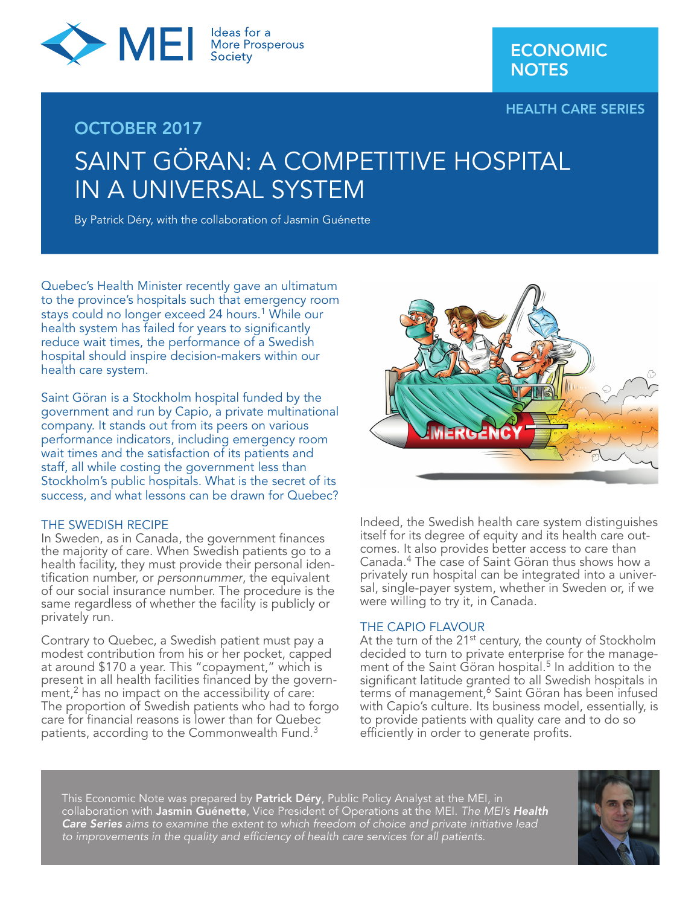

HEALTH CARE SERIES

# OCTOBER 2017 SAINT GÖRAN: A COMPETITIVE HOSPITAL IN A UNIVERSAL SYSTEM

By Patrick Déry, with the collaboration of Jasmin Guénette

Quebec's Health Minister recently gave an ultimatum to the province's hospitals such that emergency room stays could no longer exceed 24 hours.<sup>1</sup> While our health system has failed for years to significantly reduce wait times, the performance of a Swedish hospital should inspire decision-makers within our health care system.

Saint Göran is a Stockholm hospital funded by the government and run by Capio, a private multinational company. It stands out from its peers on various performance indicators, including emergency room wait times and the satisfaction of its patients and staff, all while costing the government less than Stockholm's public hospitals. What is the secret of its success, and what lessons can be drawn for Quebec?

#### THE SWEDISH RECIPE

In Sweden, as in Canada, the government finances the majority of care. When Swedish patients go to a health facility, they must provide their personal identification number, or *personnummer*, the equivalent of our social insurance number. The procedure is the same regardless of whether the facility is publicly or privately run.

Contrary to Quebec, a Swedish patient must pay a modest contribution from his or her pocket, capped at around \$170 a year. This "copayment," which is present in all health facilities financed by the govern $m$ ent, $2$  has no impact on the accessibility of care: The proportion of Swedish patients who had to forgo care for financial reasons is lower than for Quebec patients, according to the Commonwealth Fund.<sup>3</sup>



Indeed, the Swedish health care system distinguishes itself for its degree of equity and its health care outcomes. It also provides better access to care than Canada.4 The case of Saint Göran thus shows how a privately run hospital can be integrated into a universal, single-payer system, whether in Sweden or, if we were willing to try it, in Canada.

#### THE CAPIO FLAVOUR

At the turn of the 21<sup>st</sup> century, the county of Stockholm decided to turn to private enterprise for the management of the Saint Göran hospital.<sup>5</sup> In addition to the significant latitude granted to all Swedish hospitals in terms of management,<sup>6</sup> Saint Göran has been infused with Capio's culture. Its business model, essentially, is to provide patients with quality care and to do so efficiently in order to generate profits.

This Economic Note was prepared by **Patrick Déry**, Public Policy Analyst at the MEI, in collaboration with Jasmin Guénette, Vice President of Operations at the MEI. *The MEI's Health Care Series aims to examine the extent to which freedom of choice and private initiative lead to improvements in the quality and efficiency of health care services for all patients.*

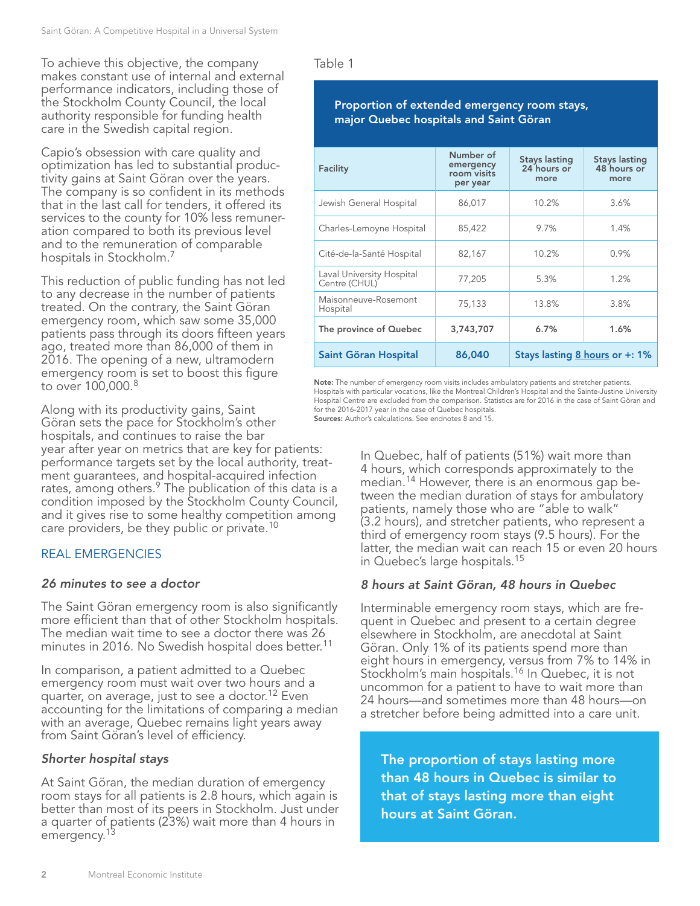To achieve this objective, the company makes constant use of internal and external performance indicators, including those of the Stockholm County Council, the local authority responsible for funding health care in the Swedish capital region.

Capio's obsession with care quality and optimization has led to substantial productivity gains at Saint Göran over the years. The company is so confident in its methods that in the last call for tenders, it offered its services to the county for 10% less remuneration compared to both its previous level and to the remuneration of comparable hospitals in Stockholm.7

This reduction of public funding has not led to any decrease in the number of patients treated. On the contrary, the Saint Göran emergency room, which saw some 35,000 patients pass through its doors fifteen years ago, treated more than 86,000 of them in 2016. The opening of a new, ultramodern emergency room is set to boost this figure to over 100,000.<sup>8</sup>

Along with its productivity gains, Saint Göran sets the pace for Stockholm's other hospitals, and continues to raise the bar year after year on metrics that are key for patients: performance targets set by the local authority, treatment guarantees, and hospital-acquired infection rates, among others.<sup>9</sup> The publication of this data is a condition imposed by the Stockholm County Council, and it gives rise to some healthy competition among care providers, be they public or private.<sup>10</sup>

# REAL EMERGENCIES

# *26 minutes to see a doctor*

The Saint Göran emergency room is also significantly more efficient than that of other Stockholm hospitals. The median wait time to see a doctor there was 26 minutes in 2016. No Swedish hospital does better.<sup>11</sup>

In comparison, a patient admitted to a Quebec emergency room must wait over two hours and a quarter, on average, just to see a doctor.<sup>12</sup> Even accounting for the limitations of comparing a median with an average, Quebec remains light years away from Saint Göran's level of efficiency.

# *Shorter hospital stays*

At Saint Göran, the median duration of emergency room stays for all patients is 2.8 hours, which again is better than most of its peers in Stockholm. Just under a quarter of patients (23%) wait more than 4 hours in emergency.<sup>13</sup>

Table 1

# Proportion of extended emergency room stays, major Quebec hospitals and Saint Göran

| Facility                                   | Number of<br>emergency<br>room visits<br>per year | <b>Stays lasting</b><br>24 hours or<br>more | <b>Stays lasting</b><br>48 hours or<br>more |
|--------------------------------------------|---------------------------------------------------|---------------------------------------------|---------------------------------------------|
| Jewish General Hospital                    | 86,017                                            | 10.2%                                       | 3.6%                                        |
| Charles-Lemoyne Hospital                   | 85,422                                            | 9.7%                                        | 1.4%                                        |
| Cité-de-la-Santé Hospital                  | 82,167                                            | 10.2%                                       | 0.9%                                        |
| Laval University Hospital<br>Centre (CHUL) | 77,205                                            | 5.3%                                        | 1.2%                                        |
| Maisonneuve-Rosemont<br>Hospital           | 75,133                                            | 13.8%                                       | 3.8%                                        |
| The province of Quebec                     | 3,743,707                                         | 6.7%                                        | 1.6%                                        |
| Saint Göran Hospital                       | 86,040                                            | Stays lasting 8 hours or +: 1%              |                                             |

Note: The number of emergency room visits includes ambulatory patients and stretcher patients. Hospitals with particular vocations, like the Montreal Children's Hospital and the Sainte-Justine University Hospital Centre are excluded from the comparison. Statistics are for 2016 in the case of Saint Göran and for the 2016-2017 year in the case of Quebec hospitals.

Sources: Author's calculations. See endnotes 8 and 15.

In Quebec, half of patients (51%) wait more than 4 hours, which corresponds approximately to the median.14 However, there is an enormous gap between the median duration of stays for ambulatory patients, namely those who are "able to walk" (3.2 hours), and stretcher patients, who represent a third of emergency room stays (9.5 hours). For the latter, the median wait can reach 15 or even 20 hours in Quebec's large hospitals.15

# *8 hours at Saint Göran, 48 hours in Quebec*

Interminable emergency room stays, which are frequent in Quebec and present to a certain degree elsewhere in Stockholm, are anecdotal at Saint Göran. Only 1% of its patients spend more than eight hours in emergency, versus from 7% to 14% in Stockholm's main hospitals.<sup>16</sup> In Quebec, it is not uncommon for a patient to have to wait more than 24 hours—and sometimes more than 48 hours—on a stretcher before being admitted into a care unit.

The proportion of stays lasting more than 48 hours in Quebec is similar to that of stays lasting more than eight hours at Saint Göran.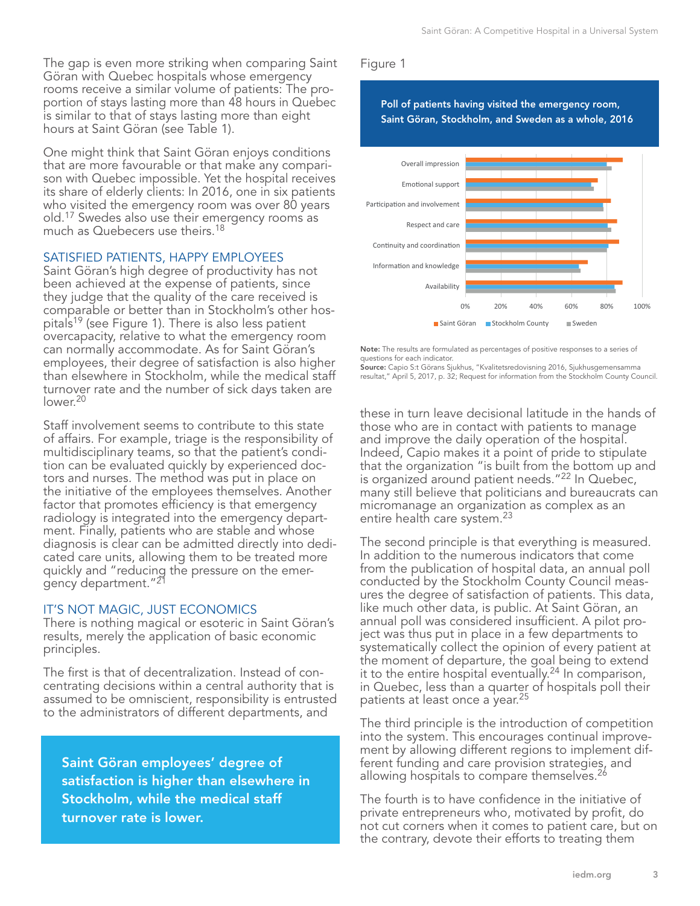The gap is even more striking when comparing Saint Göran with Quebec hospitals whose emergency rooms receive a similar volume of patients: The proportion of stays lasting more than 48 hours in Quebec is similar to that of stays lasting more than eight hours at Saint Göran (see Table 1).

One might think that Saint Göran enjoys conditions that are more favourable or that make any comparison with Quebec impossible. Yet the hospital receives its share of elderly clients: In 2016, one in six patients who visited the emergency room was over 80 years old.17 Swedes also use their emergency rooms as much as Quebecers use theirs.<sup>18</sup>

#### SATISFIED PATIENTS, HAPPY EMPLOYEES

Saint Göran's high degree of productivity has not been achieved at the expense of patients, since they judge that the quality of the care received is comparable or better than in Stockholm's other hospitals19 (see Figure 1). There is also less patient overcapacity, relative to what the emergency room can normally accommodate. As for Saint Göran's employees, their degree of satisfaction is also higher than elsewhere in Stockholm, while the medical staff turnover rate and the number of sick days taken are lower.<sup>20</sup>

Staff involvement seems to contribute to this state of affairs. For example, triage is the responsibility of multidisciplinary teams, so that the patient's condition can be evaluated quickly by experienced doctors and nurses. The method was put in place on the initiative of the employees themselves. Another factor that promotes efficiency is that emergency radiology is integrated into the emergency department. Finally, patients who are stable and whose diagnosis is clear can be admitted directly into dedicated care units, allowing them to be treated more quickly and "reducing the pressure on the emergency department."21

#### IT'S NOT MAGIC, JUST ECONOMICS

There is nothing magical or esoteric in Saint Göran's results, merely the application of basic economic principles.

The first is that of decentralization. Instead of concentrating decisions within a central authority that is assumed to be omniscient, responsibility is entrusted to the administrators of different departments, and

Saint Göran employees' degree of satisfaction is higher than elsewhere in Stockholm, while the medical staff turnover rate is lower.

### Figure 1

Poll of patients having visited the emergency room, Saint Göran, Stockholm, and Sweden as a whole, 2016



Note: The results are formulated as percentages of positive responses to a series of questions for each indicator.

Source: Capio S:t Görans Sjukhus, "Kvalitetsredovisning 2016, Sjukhusgemensamma resultat," April 5, 2017, p. 32; Request for information from the Stockholm County Council.

these in turn leave decisional latitude in the hands of those who are in contact with patients to manage and improve the daily operation of the hospital. Indeed, Capio makes it a point of pride to stipulate that the organization "is built from the bottom up and is organized around patient needs."<sup>22</sup> In Quebec, many still believe that politicians and bureaucrats can micromanage an organization as complex as an entire health care system.<sup>23</sup>

The second principle is that everything is measured. In addition to the numerous indicators that come from the publication of hospital data, an annual poll conducted by the Stockholm County Council measures the degree of satisfaction of patients. This data, like much other data, is public. At Saint Göran, an annual poll was considered insufficient. A pilot project was thus put in place in a few departments to systematically collect the opinion of every patient at the moment of departure, the goal being to extend it to the entire hospital eventually.<sup>24</sup> In comparison, in Quebec, less than a quarter of hospitals poll their patients at least once a year.<sup>25</sup>

The third principle is the introduction of competition into the system. This encourages continual improvement by allowing different regions to implement different funding and care provision strategies, and allowing hospitals to compare themselves.<sup>26</sup>

The fourth is to have confidence in the initiative of private entrepreneurs who, motivated by profit, do not cut corners when it comes to patient care, but on the contrary, devote their efforts to treating them